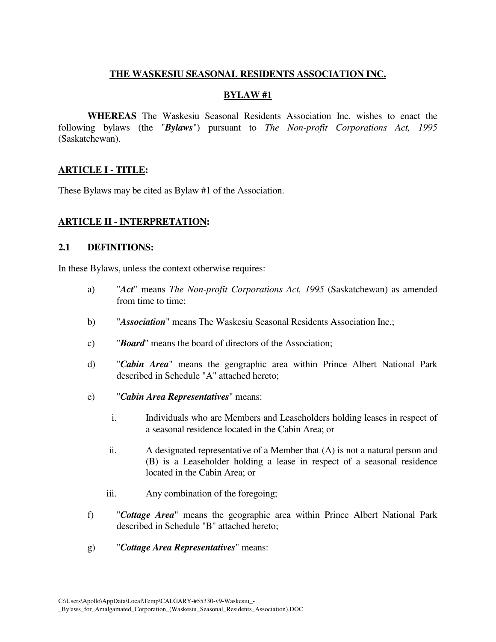#### **THE WASKESIU SEASONAL RESIDENTS ASSOCIATION INC.**

#### **BYLAW #1**

**WHEREAS** The Waskesiu Seasonal Residents Association Inc. wishes to enact the following bylaws (the "*Bylaws*") pursuant to *The Non-profit Corporations Act, 1995* (Saskatchewan).

#### **ARTICLE I - TITLE:**

These Bylaws may be cited as Bylaw #1 of the Association.

#### **ARTICLE II - INTERPRETATION:**

#### **2.1 DEFINITIONS:**

In these Bylaws, unless the context otherwise requires:

- a) "*Act*" means *The Non-profit Corporations Act, 1995* (Saskatchewan) as amended from time to time;
- b) "*Association*" means The Waskesiu Seasonal Residents Association Inc.;
- c) "*Board*" means the board of directors of the Association;
- d) "*Cabin Area*" means the geographic area within Prince Albert National Park described in Schedule "A" attached hereto;
- e) "*Cabin Area Representatives*" means:
	- i. Individuals who are Members and Leaseholders holding leases in respect of a seasonal residence located in the Cabin Area; or
	- ii. A designated representative of a Member that (A) is not a natural person and (B) is a Leaseholder holding a lease in respect of a seasonal residence located in the Cabin Area; or
	- iii. Any combination of the foregoing;
- f) "*Cottage Area*" means the geographic area within Prince Albert National Park described in Schedule "B" attached hereto;
- g) "*Cottage Area Representatives*" means: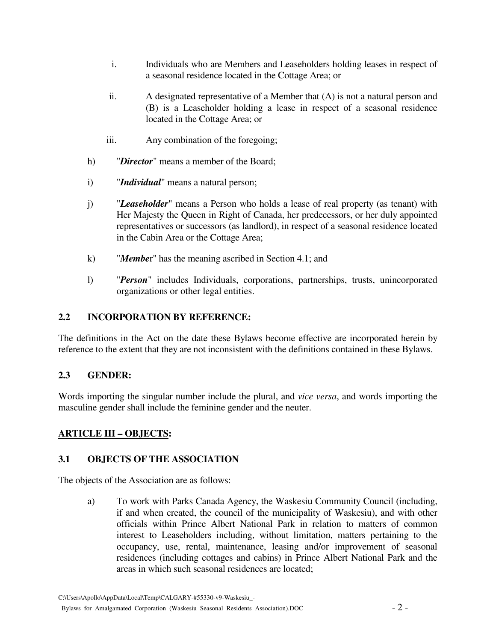- i. Individuals who are Members and Leaseholders holding leases in respect of a seasonal residence located in the Cottage Area; or
- ii. A designated representative of a Member that (A) is not a natural person and (B) is a Leaseholder holding a lease in respect of a seasonal residence located in the Cottage Area; or
- iii. Any combination of the foregoing;
- h) "*Director*" means a member of the Board;
- i) "*Individual*" means a natural person;
- j) "*Leaseholder*" means a Person who holds a lease of real property (as tenant) with Her Majesty the Queen in Right of Canada, her predecessors, or her duly appointed representatives or successors (as landlord), in respect of a seasonal residence located in the Cabin Area or the Cottage Area;
- k) "*Membe*r" has the meaning ascribed in Section 4.1; and
- l) "*Person*" includes Individuals, corporations, partnerships, trusts, unincorporated organizations or other legal entities.

#### **2.2 INCORPORATION BY REFERENCE:**

The definitions in the Act on the date these Bylaws become effective are incorporated herein by reference to the extent that they are not inconsistent with the definitions contained in these Bylaws.

## **2.3 GENDER:**

Words importing the singular number include the plural, and *vice versa*, and words importing the masculine gender shall include the feminine gender and the neuter.

## **ARTICLE III – OBJECTS:**

#### **3.1 OBJECTS OF THE ASSOCIATION**

The objects of the Association are as follows:

a) To work with Parks Canada Agency, the Waskesiu Community Council (including, if and when created, the council of the municipality of Waskesiu), and with other officials within Prince Albert National Park in relation to matters of common interest to Leaseholders including, without limitation, matters pertaining to the occupancy, use, rental, maintenance, leasing and/or improvement of seasonal residences (including cottages and cabins) in Prince Albert National Park and the areas in which such seasonal residences are located;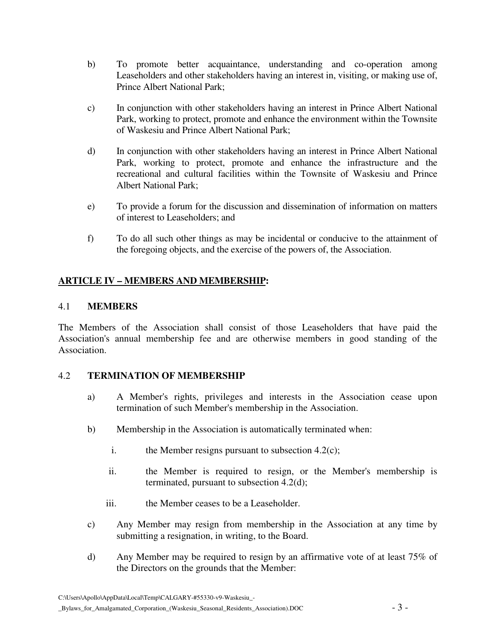- b) To promote better acquaintance, understanding and co-operation among Leaseholders and other stakeholders having an interest in, visiting, or making use of, Prince Albert National Park;
- c) In conjunction with other stakeholders having an interest in Prince Albert National Park, working to protect, promote and enhance the environment within the Townsite of Waskesiu and Prince Albert National Park;
- d) In conjunction with other stakeholders having an interest in Prince Albert National Park, working to protect, promote and enhance the infrastructure and the recreational and cultural facilities within the Townsite of Waskesiu and Prince Albert National Park;
- e) To provide a forum for the discussion and dissemination of information on matters of interest to Leaseholders; and
- f) To do all such other things as may be incidental or conducive to the attainment of the foregoing objects, and the exercise of the powers of, the Association.

# **ARTICLE IV – MEMBERS AND MEMBERSHIP:**

#### 4.1 **MEMBERS**

The Members of the Association shall consist of those Leaseholders that have paid the Association's annual membership fee and are otherwise members in good standing of the Association.

#### 4.2 **TERMINATION OF MEMBERSHIP**

- a) A Member's rights, privileges and interests in the Association cease upon termination of such Member's membership in the Association.
- b) Membership in the Association is automatically terminated when:
	- i. the Member resigns pursuant to subsection 4.2(c);
	- ii. the Member is required to resign, or the Member's membership is terminated, pursuant to subsection 4.2(d);
	- iii. the Member ceases to be a Leaseholder.
- c) Any Member may resign from membership in the Association at any time by submitting a resignation, in writing, to the Board.
- d) Any Member may be required to resign by an affirmative vote of at least 75% of the Directors on the grounds that the Member: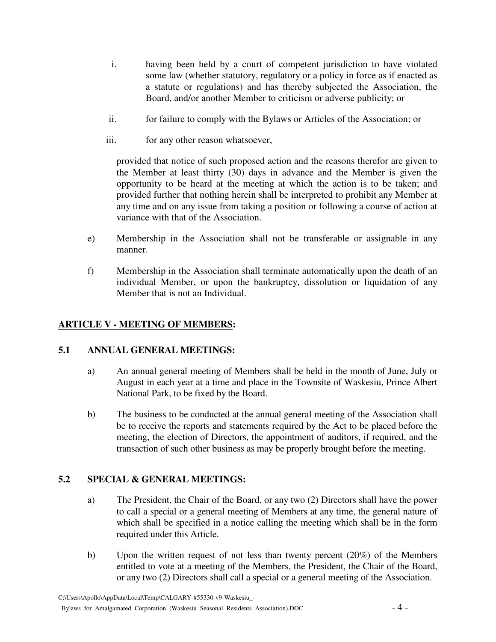- i. having been held by a court of competent jurisdiction to have violated some law (whether statutory, regulatory or a policy in force as if enacted as a statute or regulations) and has thereby subjected the Association, the Board, and/or another Member to criticism or adverse publicity; or
- ii. for failure to comply with the Bylaws or Articles of the Association; or
- iii. for any other reason whatsoever,

provided that notice of such proposed action and the reasons therefor are given to the Member at least thirty (30) days in advance and the Member is given the opportunity to be heard at the meeting at which the action is to be taken; and provided further that nothing herein shall be interpreted to prohibit any Member at any time and on any issue from taking a position or following a course of action at variance with that of the Association.

- e) Membership in the Association shall not be transferable or assignable in any manner.
- f) Membership in the Association shall terminate automatically upon the death of an individual Member, or upon the bankruptcy, dissolution or liquidation of any Member that is not an Individual.

# **ARTICLE V - MEETING OF MEMBERS:**

## **5.1 ANNUAL GENERAL MEETINGS:**

- a) An annual general meeting of Members shall be held in the month of June, July or August in each year at a time and place in the Townsite of Waskesiu, Prince Albert National Park, to be fixed by the Board.
- b) The business to be conducted at the annual general meeting of the Association shall be to receive the reports and statements required by the Act to be placed before the meeting, the election of Directors, the appointment of auditors, if required, and the transaction of such other business as may be properly brought before the meeting.

## **5.2 SPECIAL & GENERAL MEETINGS:**

- a) The President, the Chair of the Board, or any two (2) Directors shall have the power to call a special or a general meeting of Members at any time, the general nature of which shall be specified in a notice calling the meeting which shall be in the form required under this Article.
- b) Upon the written request of not less than twenty percent (20%) of the Members entitled to vote at a meeting of the Members, the President, the Chair of the Board, or any two (2) Directors shall call a special or a general meeting of the Association.

C:\Users\Apollo\AppData\Local\Temp\CALGARY-#55330-v9-Waskesiu\_-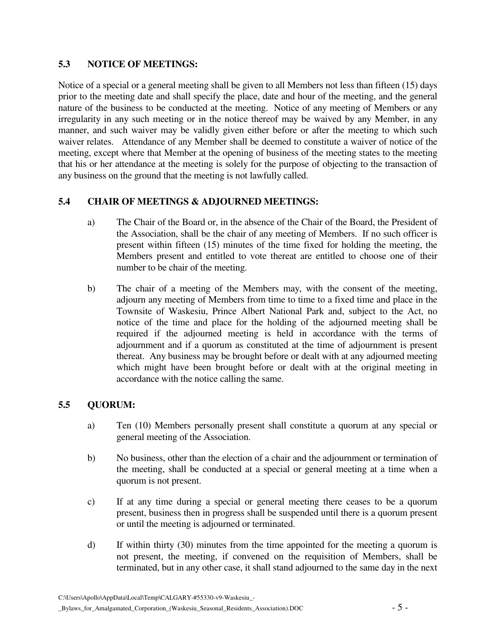# **5.3 NOTICE OF MEETINGS:**

Notice of a special or a general meeting shall be given to all Members not less than fifteen (15) days prior to the meeting date and shall specify the place, date and hour of the meeting, and the general nature of the business to be conducted at the meeting. Notice of any meeting of Members or any irregularity in any such meeting or in the notice thereof may be waived by any Member, in any manner, and such waiver may be validly given either before or after the meeting to which such waiver relates. Attendance of any Member shall be deemed to constitute a waiver of notice of the meeting, except where that Member at the opening of business of the meeting states to the meeting that his or her attendance at the meeting is solely for the purpose of objecting to the transaction of any business on the ground that the meeting is not lawfully called.

# **5.4 CHAIR OF MEETINGS & ADJOURNED MEETINGS:**

- a) The Chair of the Board or, in the absence of the Chair of the Board, the President of the Association, shall be the chair of any meeting of Members. If no such officer is present within fifteen (15) minutes of the time fixed for holding the meeting, the Members present and entitled to vote thereat are entitled to choose one of their number to be chair of the meeting.
- b) The chair of a meeting of the Members may, with the consent of the meeting, adjourn any meeting of Members from time to time to a fixed time and place in the Townsite of Waskesiu, Prince Albert National Park and, subject to the Act, no notice of the time and place for the holding of the adjourned meeting shall be required if the adjourned meeting is held in accordance with the terms of adjournment and if a quorum as constituted at the time of adjournment is present thereat. Any business may be brought before or dealt with at any adjourned meeting which might have been brought before or dealt with at the original meeting in accordance with the notice calling the same.

# **5.5 QUORUM:**

- a) Ten (10) Members personally present shall constitute a quorum at any special or general meeting of the Association.
- b) No business, other than the election of a chair and the adjournment or termination of the meeting, shall be conducted at a special or general meeting at a time when a quorum is not present.
- c) If at any time during a special or general meeting there ceases to be a quorum present, business then in progress shall be suspended until there is a quorum present or until the meeting is adjourned or terminated.
- d) If within thirty (30) minutes from the time appointed for the meeting a quorum is not present, the meeting, if convened on the requisition of Members, shall be terminated, but in any other case, it shall stand adjourned to the same day in the next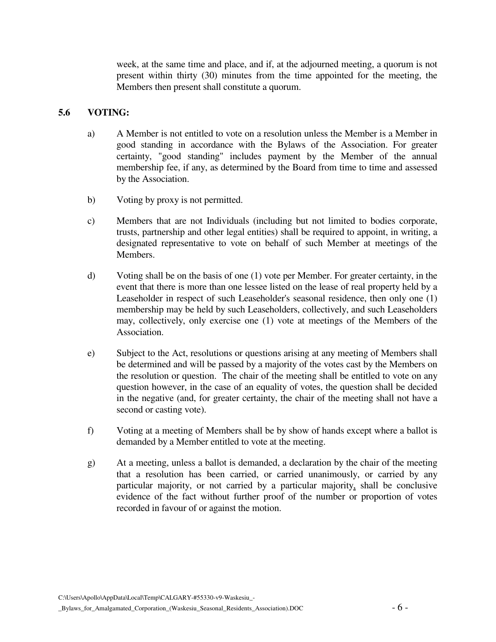week, at the same time and place, and if, at the adjourned meeting, a quorum is not present within thirty (30) minutes from the time appointed for the meeting, the Members then present shall constitute a quorum.

#### **5.6 VOTING:**

- a) A Member is not entitled to vote on a resolution unless the Member is a Member in good standing in accordance with the Bylaws of the Association. For greater certainty, "good standing" includes payment by the Member of the annual membership fee, if any, as determined by the Board from time to time and assessed by the Association.
- b) Voting by proxy is not permitted.
- c) Members that are not Individuals (including but not limited to bodies corporate, trusts, partnership and other legal entities) shall be required to appoint, in writing, a designated representative to vote on behalf of such Member at meetings of the Members.
- d) Voting shall be on the basis of one (1) vote per Member. For greater certainty, in the event that there is more than one lessee listed on the lease of real property held by a Leaseholder in respect of such Leaseholder's seasonal residence, then only one (1) membership may be held by such Leaseholders, collectively, and such Leaseholders may, collectively, only exercise one (1) vote at meetings of the Members of the Association.
- e) Subject to the Act, resolutions or questions arising at any meeting of Members shall be determined and will be passed by a majority of the votes cast by the Members on the resolution or question. The chair of the meeting shall be entitled to vote on any question however, in the case of an equality of votes, the question shall be decided in the negative (and, for greater certainty, the chair of the meeting shall not have a second or casting vote).
- f) Voting at a meeting of Members shall be by show of hands except where a ballot is demanded by a Member entitled to vote at the meeting.
- g) At a meeting, unless a ballot is demanded, a declaration by the chair of the meeting that a resolution has been carried, or carried unanimously, or carried by any particular majority, or not carried by a particular majority, shall be conclusive evidence of the fact without further proof of the number or proportion of votes recorded in favour of or against the motion.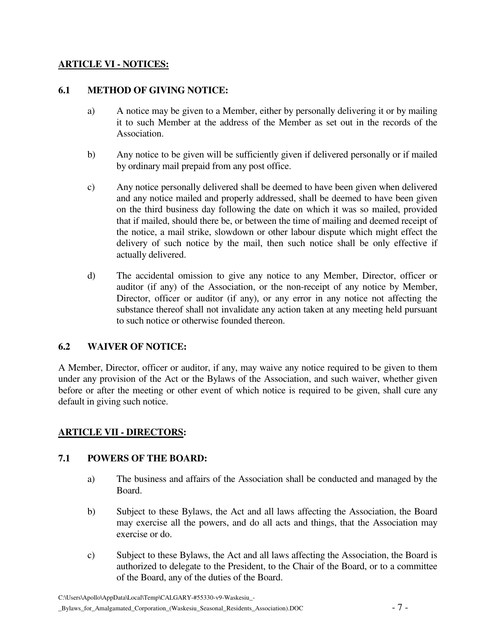## **ARTICLE VI - NOTICES:**

#### **6.1 METHOD OF GIVING NOTICE:**

- a) A notice may be given to a Member, either by personally delivering it or by mailing it to such Member at the address of the Member as set out in the records of the Association.
- b) Any notice to be given will be sufficiently given if delivered personally or if mailed by ordinary mail prepaid from any post office.
- c) Any notice personally delivered shall be deemed to have been given when delivered and any notice mailed and properly addressed, shall be deemed to have been given on the third business day following the date on which it was so mailed, provided that if mailed, should there be, or between the time of mailing and deemed receipt of the notice, a mail strike, slowdown or other labour dispute which might effect the delivery of such notice by the mail, then such notice shall be only effective if actually delivered.
- d) The accidental omission to give any notice to any Member, Director, officer or auditor (if any) of the Association, or the non-receipt of any notice by Member, Director, officer or auditor (if any), or any error in any notice not affecting the substance thereof shall not invalidate any action taken at any meeting held pursuant to such notice or otherwise founded thereon.

## **6.2 WAIVER OF NOTICE:**

A Member, Director, officer or auditor, if any, may waive any notice required to be given to them under any provision of the Act or the Bylaws of the Association, and such waiver, whether given before or after the meeting or other event of which notice is required to be given, shall cure any default in giving such notice.

## **ARTICLE VII - DIRECTORS:**

## **7.1 POWERS OF THE BOARD:**

- a) The business and affairs of the Association shall be conducted and managed by the Board.
- b) Subject to these Bylaws, the Act and all laws affecting the Association, the Board may exercise all the powers, and do all acts and things, that the Association may exercise or do.
- c) Subject to these Bylaws, the Act and all laws affecting the Association, the Board is authorized to delegate to the President, to the Chair of the Board, or to a committee of the Board, any of the duties of the Board.

C:\Users\Apollo\AppData\Local\Temp\CALGARY-#55330-v9-Waskesiu\_- \_Bylaws\_for\_Amalgamated\_Corporation\_(Waskesiu\_Seasonal\_Residents\_Association).DOC - 7 -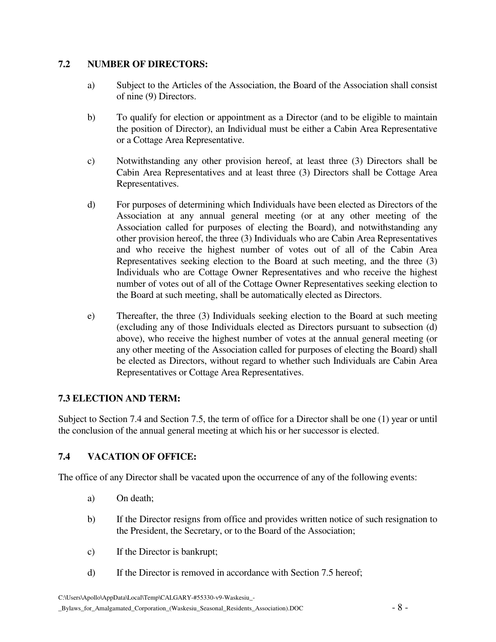## **7.2 NUMBER OF DIRECTORS:**

- a) Subject to the Articles of the Association, the Board of the Association shall consist of nine (9) Directors.
- b) To qualify for election or appointment as a Director (and to be eligible to maintain the position of Director), an Individual must be either a Cabin Area Representative or a Cottage Area Representative.
- c) Notwithstanding any other provision hereof, at least three (3) Directors shall be Cabin Area Representatives and at least three (3) Directors shall be Cottage Area Representatives.
- d) For purposes of determining which Individuals have been elected as Directors of the Association at any annual general meeting (or at any other meeting of the Association called for purposes of electing the Board), and notwithstanding any other provision hereof, the three (3) Individuals who are Cabin Area Representatives and who receive the highest number of votes out of all of the Cabin Area Representatives seeking election to the Board at such meeting, and the three (3) Individuals who are Cottage Owner Representatives and who receive the highest number of votes out of all of the Cottage Owner Representatives seeking election to the Board at such meeting, shall be automatically elected as Directors.
- e) Thereafter, the three (3) Individuals seeking election to the Board at such meeting (excluding any of those Individuals elected as Directors pursuant to subsection (d) above), who receive the highest number of votes at the annual general meeting (or any other meeting of the Association called for purposes of electing the Board) shall be elected as Directors, without regard to whether such Individuals are Cabin Area Representatives or Cottage Area Representatives.

## **7.3 ELECTION AND TERM:**

Subject to Section 7.4 and Section 7.5, the term of office for a Director shall be one (1) year or until the conclusion of the annual general meeting at which his or her successor is elected.

# **7.4 VACATION OF OFFICE:**

The office of any Director shall be vacated upon the occurrence of any of the following events:

- a) On death;
- b) If the Director resigns from office and provides written notice of such resignation to the President, the Secretary, or to the Board of the Association;
- c) If the Director is bankrupt;
- d) If the Director is removed in accordance with Section 7.5 hereof;

C:\Users\Apollo\AppData\Local\Temp\CALGARY-#55330-v9-Waskesiu\_-

#### \_Bylaws\_for\_Amalgamated\_Corporation\_(Waskesiu\_Seasonal\_Residents\_Association).DOC - 8 -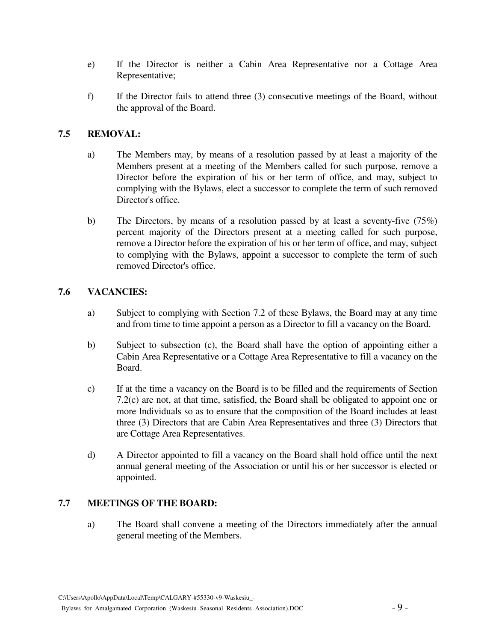- e) If the Director is neither a Cabin Area Representative nor a Cottage Area Representative;
- f) If the Director fails to attend three (3) consecutive meetings of the Board, without the approval of the Board.

## **7.5 REMOVAL:**

- a) The Members may, by means of a resolution passed by at least a majority of the Members present at a meeting of the Members called for such purpose, remove a Director before the expiration of his or her term of office, and may, subject to complying with the Bylaws, elect a successor to complete the term of such removed Director's office.
- b) The Directors, by means of a resolution passed by at least a seventy-five (75%) percent majority of the Directors present at a meeting called for such purpose, remove a Director before the expiration of his or her term of office, and may, subject to complying with the Bylaws, appoint a successor to complete the term of such removed Director's office.

## **7.6 VACANCIES:**

- a) Subject to complying with Section 7.2 of these Bylaws, the Board may at any time and from time to time appoint a person as a Director to fill a vacancy on the Board.
- b) Subject to subsection (c), the Board shall have the option of appointing either a Cabin Area Representative or a Cottage Area Representative to fill a vacancy on the Board.
- c) If at the time a vacancy on the Board is to be filled and the requirements of Section 7.2(c) are not, at that time, satisfied, the Board shall be obligated to appoint one or more Individuals so as to ensure that the composition of the Board includes at least three (3) Directors that are Cabin Area Representatives and three (3) Directors that are Cottage Area Representatives.
- d) A Director appointed to fill a vacancy on the Board shall hold office until the next annual general meeting of the Association or until his or her successor is elected or appointed.

## **7.7 MEETINGS OF THE BOARD:**

a) The Board shall convene a meeting of the Directors immediately after the annual general meeting of the Members.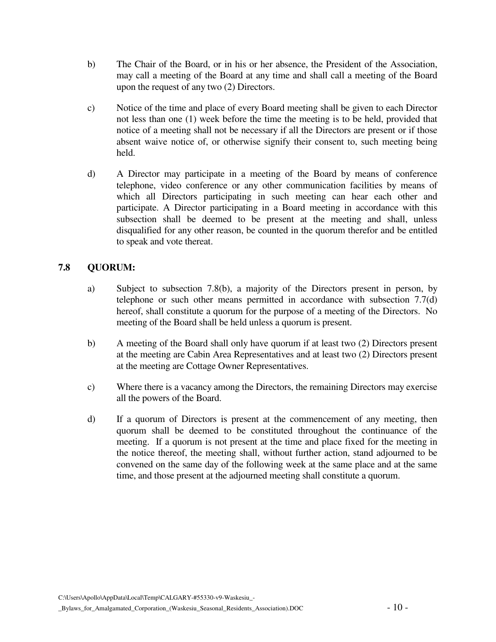- b) The Chair of the Board, or in his or her absence, the President of the Association, may call a meeting of the Board at any time and shall call a meeting of the Board upon the request of any two (2) Directors.
- c) Notice of the time and place of every Board meeting shall be given to each Director not less than one (1) week before the time the meeting is to be held, provided that notice of a meeting shall not be necessary if all the Directors are present or if those absent waive notice of, or otherwise signify their consent to, such meeting being held.
- d) A Director may participate in a meeting of the Board by means of conference telephone, video conference or any other communication facilities by means of which all Directors participating in such meeting can hear each other and participate. A Director participating in a Board meeting in accordance with this subsection shall be deemed to be present at the meeting and shall, unless disqualified for any other reason, be counted in the quorum therefor and be entitled to speak and vote thereat.

# **7.8 QUORUM:**

- a) Subject to subsection 7.8(b), a majority of the Directors present in person, by telephone or such other means permitted in accordance with subsection 7.7(d) hereof, shall constitute a quorum for the purpose of a meeting of the Directors. No meeting of the Board shall be held unless a quorum is present.
- b) A meeting of the Board shall only have quorum if at least two (2) Directors present at the meeting are Cabin Area Representatives and at least two (2) Directors present at the meeting are Cottage Owner Representatives.
- c) Where there is a vacancy among the Directors, the remaining Directors may exercise all the powers of the Board.
- d) If a quorum of Directors is present at the commencement of any meeting, then quorum shall be deemed to be constituted throughout the continuance of the meeting. If a quorum is not present at the time and place fixed for the meeting in the notice thereof, the meeting shall, without further action, stand adjourned to be convened on the same day of the following week at the same place and at the same time, and those present at the adjourned meeting shall constitute a quorum.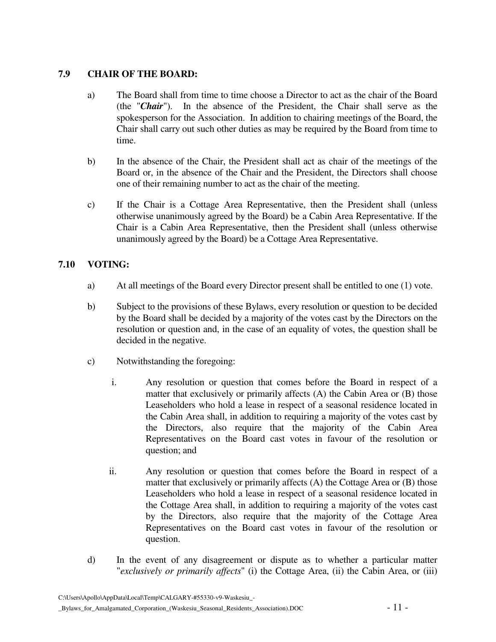## **7.9 CHAIR OF THE BOARD:**

- a) The Board shall from time to time choose a Director to act as the chair of the Board (the "*Chair*"). In the absence of the President, the Chair shall serve as the spokesperson for the Association. In addition to chairing meetings of the Board, the Chair shall carry out such other duties as may be required by the Board from time to time.
- b) In the absence of the Chair, the President shall act as chair of the meetings of the Board or, in the absence of the Chair and the President, the Directors shall choose one of their remaining number to act as the chair of the meeting.
- c) If the Chair is a Cottage Area Representative, then the President shall (unless otherwise unanimously agreed by the Board) be a Cabin Area Representative. If the Chair is a Cabin Area Representative, then the President shall (unless otherwise unanimously agreed by the Board) be a Cottage Area Representative.

# **7.10 VOTING:**

- a) At all meetings of the Board every Director present shall be entitled to one (1) vote.
- b) Subject to the provisions of these Bylaws, every resolution or question to be decided by the Board shall be decided by a majority of the votes cast by the Directors on the resolution or question and, in the case of an equality of votes, the question shall be decided in the negative.
- c) Notwithstanding the foregoing:
	- i. Any resolution or question that comes before the Board in respect of a matter that exclusively or primarily affects (A) the Cabin Area or (B) those Leaseholders who hold a lease in respect of a seasonal residence located in the Cabin Area shall, in addition to requiring a majority of the votes cast by the Directors, also require that the majority of the Cabin Area Representatives on the Board cast votes in favour of the resolution or question; and
	- ii. Any resolution or question that comes before the Board in respect of a matter that exclusively or primarily affects (A) the Cottage Area or (B) those Leaseholders who hold a lease in respect of a seasonal residence located in the Cottage Area shall, in addition to requiring a majority of the votes cast by the Directors, also require that the majority of the Cottage Area Representatives on the Board cast votes in favour of the resolution or question.
- d) In the event of any disagreement or dispute as to whether a particular matter "*exclusively or primarily affects*" (i) the Cottage Area, (ii) the Cabin Area, or (iii)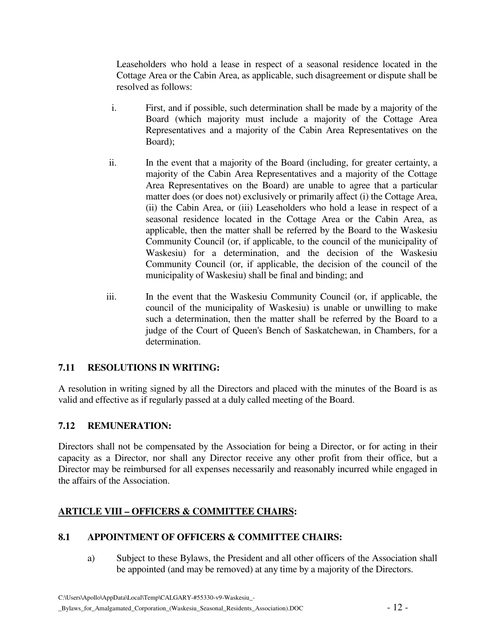Leaseholders who hold a lease in respect of a seasonal residence located in the Cottage Area or the Cabin Area, as applicable, such disagreement or dispute shall be resolved as follows:

- i. First, and if possible, such determination shall be made by a majority of the Board (which majority must include a majority of the Cottage Area Representatives and a majority of the Cabin Area Representatives on the Board);
- ii. In the event that a majority of the Board (including, for greater certainty, a majority of the Cabin Area Representatives and a majority of the Cottage Area Representatives on the Board) are unable to agree that a particular matter does (or does not) exclusively or primarily affect (i) the Cottage Area, (ii) the Cabin Area, or (iii) Leaseholders who hold a lease in respect of a seasonal residence located in the Cottage Area or the Cabin Area, as applicable, then the matter shall be referred by the Board to the Waskesiu Community Council (or, if applicable, to the council of the municipality of Waskesiu) for a determination, and the decision of the Waskesiu Community Council (or, if applicable, the decision of the council of the municipality of Waskesiu) shall be final and binding; and
- iii. In the event that the Waskesiu Community Council (or, if applicable, the council of the municipality of Waskesiu) is unable or unwilling to make such a determination, then the matter shall be referred by the Board to a judge of the Court of Queen's Bench of Saskatchewan, in Chambers, for a determination.

# **7.11 RESOLUTIONS IN WRITING:**

A resolution in writing signed by all the Directors and placed with the minutes of the Board is as valid and effective as if regularly passed at a duly called meeting of the Board.

# **7.12 REMUNERATION:**

Directors shall not be compensated by the Association for being a Director, or for acting in their capacity as a Director, nor shall any Director receive any other profit from their office, but a Director may be reimbursed for all expenses necessarily and reasonably incurred while engaged in the affairs of the Association.

# **ARTICLE VIII – OFFICERS & COMMITTEE CHAIRS:**

## **8.1 APPOINTMENT OF OFFICERS & COMMITTEE CHAIRS:**

a) Subject to these Bylaws, the President and all other officers of the Association shall be appointed (and may be removed) at any time by a majority of the Directors.

C:\Users\Apollo\AppData\Local\Temp\CALGARY-#55330-v9-Waskesiu\_-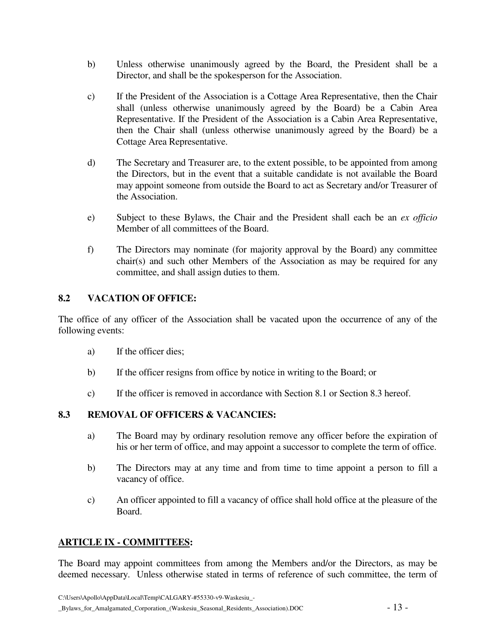- b) Unless otherwise unanimously agreed by the Board, the President shall be a Director, and shall be the spokesperson for the Association.
- c) If the President of the Association is a Cottage Area Representative, then the Chair shall (unless otherwise unanimously agreed by the Board) be a Cabin Area Representative. If the President of the Association is a Cabin Area Representative, then the Chair shall (unless otherwise unanimously agreed by the Board) be a Cottage Area Representative.
- d) The Secretary and Treasurer are, to the extent possible, to be appointed from among the Directors, but in the event that a suitable candidate is not available the Board may appoint someone from outside the Board to act as Secretary and/or Treasurer of the Association.
- e) Subject to these Bylaws, the Chair and the President shall each be an *ex officio* Member of all committees of the Board.
- f) The Directors may nominate (for majority approval by the Board) any committee chair(s) and such other Members of the Association as may be required for any committee, and shall assign duties to them.

# **8.2 VACATION OF OFFICE:**

The office of any officer of the Association shall be vacated upon the occurrence of any of the following events:

- a) If the officer dies;
- b) If the officer resigns from office by notice in writing to the Board; or
- c) If the officer is removed in accordance with Section 8.1 or Section 8.3 hereof.

## **8.3 REMOVAL OF OFFICERS & VACANCIES:**

- a) The Board may by ordinary resolution remove any officer before the expiration of his or her term of office, and may appoint a successor to complete the term of office.
- b) The Directors may at any time and from time to time appoint a person to fill a vacancy of office.
- c) An officer appointed to fill a vacancy of office shall hold office at the pleasure of the Board.

## **ARTICLE IX - COMMITTEES:**

The Board may appoint committees from among the Members and/or the Directors, as may be deemed necessary. Unless otherwise stated in terms of reference of such committee, the term of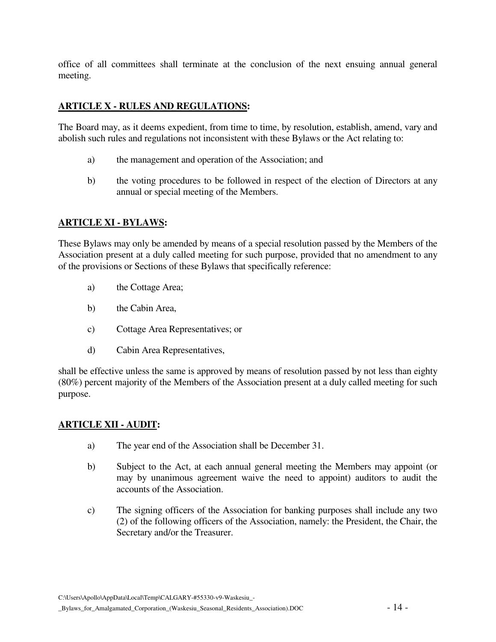office of all committees shall terminate at the conclusion of the next ensuing annual general meeting.

## **ARTICLE X - RULES AND REGULATIONS:**

The Board may, as it deems expedient, from time to time, by resolution, establish, amend, vary and abolish such rules and regulations not inconsistent with these Bylaws or the Act relating to:

- a) the management and operation of the Association; and
- b) the voting procedures to be followed in respect of the election of Directors at any annual or special meeting of the Members.

# **ARTICLE XI - BYLAWS:**

These Bylaws may only be amended by means of a special resolution passed by the Members of the Association present at a duly called meeting for such purpose, provided that no amendment to any of the provisions or Sections of these Bylaws that specifically reference:

- a) the Cottage Area;
- b) the Cabin Area,
- c) Cottage Area Representatives; or
- d) Cabin Area Representatives,

shall be effective unless the same is approved by means of resolution passed by not less than eighty (80%) percent majority of the Members of the Association present at a duly called meeting for such purpose.

#### **ARTICLE XII - AUDIT:**

- a) The year end of the Association shall be December 31.
- b) Subject to the Act, at each annual general meeting the Members may appoint (or may by unanimous agreement waive the need to appoint) auditors to audit the accounts of the Association.
- c) The signing officers of the Association for banking purposes shall include any two (2) of the following officers of the Association, namely: the President, the Chair, the Secretary and/or the Treasurer.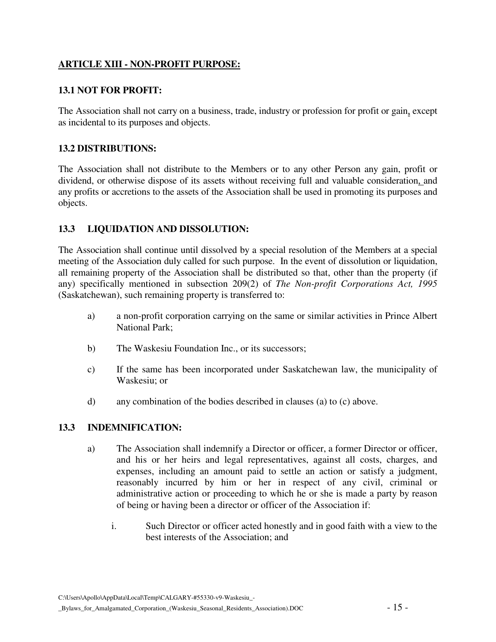# **ARTICLE XIII - NON-PROFIT PURPOSE:**

#### **13.1 NOT FOR PROFIT:**

The Association shall not carry on a business, trade, industry or profession for profit or gain, except as incidental to its purposes and objects.

#### **13.2 DISTRIBUTIONS:**

The Association shall not distribute to the Members or to any other Person any gain, profit or dividend, or otherwise dispose of its assets without receiving full and valuable consideration, and any profits or accretions to the assets of the Association shall be used in promoting its purposes and objects.

## **13.3 LIQUIDATION AND DISSOLUTION:**

The Association shall continue until dissolved by a special resolution of the Members at a special meeting of the Association duly called for such purpose. In the event of dissolution or liquidation, all remaining property of the Association shall be distributed so that, other than the property (if any) specifically mentioned in subsection 209(2) of *The Non-profit Corporations Act, 1995* (Saskatchewan), such remaining property is transferred to:

- a) a non-profit corporation carrying on the same or similar activities in Prince Albert National Park;
- b) The Waskesiu Foundation Inc., or its successors;
- c) If the same has been incorporated under Saskatchewan law, the municipality of Waskesiu; or
- d) any combination of the bodies described in clauses (a) to (c) above.

## **13.3 INDEMNIFICATION:**

- a) The Association shall indemnify a Director or officer, a former Director or officer, and his or her heirs and legal representatives, against all costs, charges, and expenses, including an amount paid to settle an action or satisfy a judgment, reasonably incurred by him or her in respect of any civil, criminal or administrative action or proceeding to which he or she is made a party by reason of being or having been a director or officer of the Association if:
	- i. Such Director or officer acted honestly and in good faith with a view to the best interests of the Association; and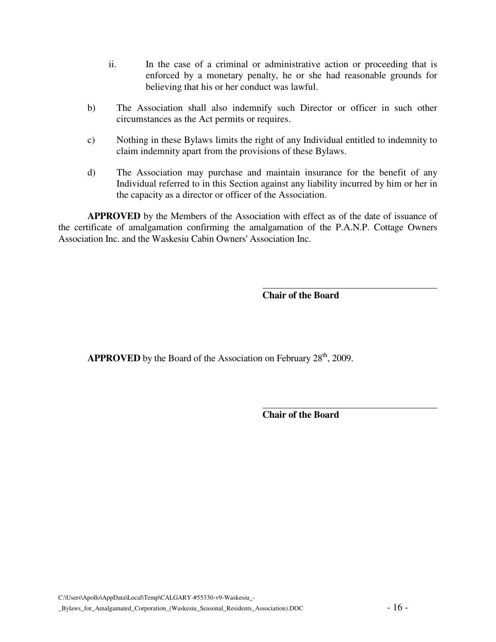- ii. In the case of a criminal or administrative action or proceeding that is enforced by a monetary penalty, he or she had reasonable grounds for believing that his or her conduct was lawful.
- b) The Association shall also indemnify such Director or officer in such other circumstances as the Act permits or requires.
- c) Nothing in these Bylaws limits the right of any Individual entitled to indemnity to claim indemnity apart from the provisions of these Bylaws.
- d) The Association may purchase and maintain insurance for the benefit of any Individual referred to in this Section against any liability incurred by him or her in the capacity as a director or officer of the Association.

 $\overline{a}$ 

**APPROVED** by the Members of the Association with effect as of the date of issuance of the certificate of amalgamation confirming the amalgamation of the P.A.N.P. Cottage Owners Association Inc. and the Waskesiu Cabin Owners' Association Inc.

**Chair of the Board** 

**APPROVED** by the Board of the Association on February 28<sup>th</sup>, 2009.

**Chair of the Board**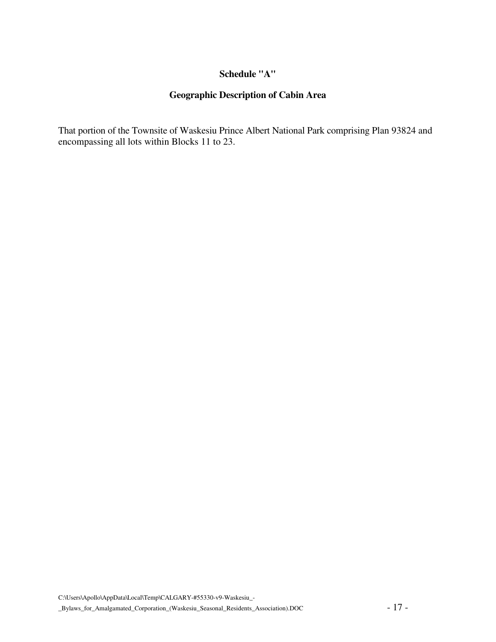#### **Schedule "A"**

# **Geographic Description of Cabin Area**

That portion of the Townsite of Waskesiu Prince Albert National Park comprising Plan 93824 and encompassing all lots within Blocks 11 to 23.